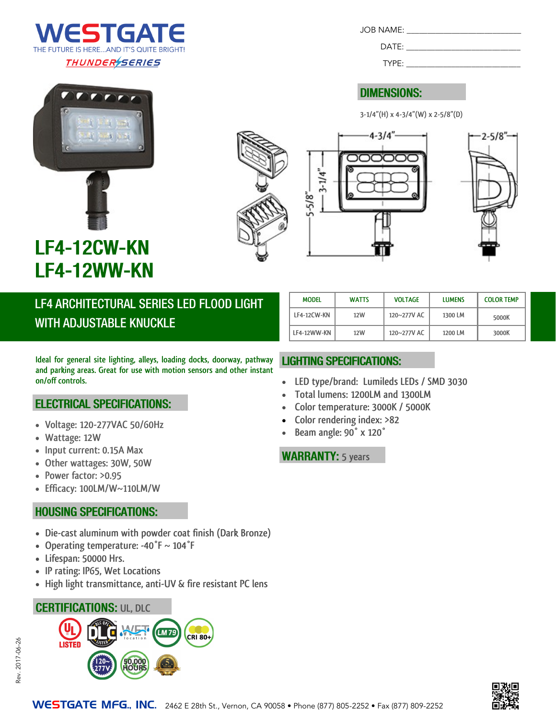

JOB NAME: \_\_\_\_\_\_\_\_\_\_\_\_\_\_\_\_\_\_\_\_\_\_\_\_\_\_\_\_

TYPE:

#### **DIMENSIONS:**

**3-1/4"(H) x 4-3/4"(W) x 2-5/8"(D)**









# LF4-12CW-KN LF4-12WW-KN

LF4 ARCHITECTURAL SERIES LED FLOOD LIGHT **WITH ADJUSTABLE KNUCKLE** 

**Ideal for general site lighting, alleys, loading docks, doorway, pathway and parking areas. Great for use with motion sensors and other instant on/off controls.**

#### **ELECTRICAL SPECIFICATIONS:**

- **Voltage: 120-277VAC 50/60Hz**
- **Wattage: 12W**
- **Input current: 0.15A Max**
- **Other wattages: 30W, 50W**
- **Power factor: >0.95**
- **Efficacy: 100LM/W~110LM/W**

#### **HOUSING SPECIFICATIONS:**

- **Die-cast aluminum with powder coat finish (Dark Bronze)**
- **Operating temperature: -40°F ~ 104°F**
- **Lifespan: 50000 Hrs.**
- **IP rating: IP65, Wet Locations**
- **High light transmittance, anti-UV & fire resistant PC lens**

#### **CERTIFICATIONS: UL, DLC**



| <b>MODEL</b> | <b>WATTS</b> | <b>VOLTAGE</b> | <b>LUMENS</b> | <b>COLOR TEMP</b> |
|--------------|--------------|----------------|---------------|-------------------|
| LF4-12CW-KN  | 12W          | 120~277V AC    | 1300 LM       | 5000K             |
| LF4-12WW-KN  | 12W          | 120~277V AC    | 1200 LM       | 3000K             |

#### **LIGHTING SPECIFICATIONS:**

- **LED type/brand: Lumileds LEDs / SMD 3030**
- **Total lumens: 1200LM and 1300LM**
- **Color temperature: 3000K / 5000K**
- **Color rendering index: >82**
- **Beam angle: 90° x 120°**

#### **WARRANTY:** 5 years